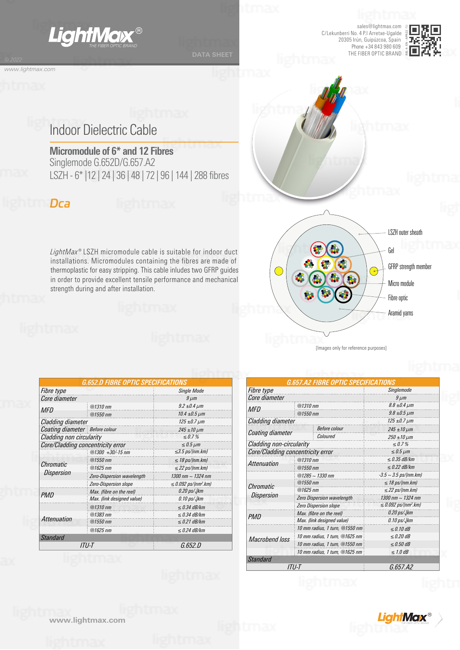

sales@lightmax.com C/Lekunberri No. 4 P.I Arretxe-Ugalde 20305 Irún, Guipúzcoa, Spain Phone +34 843 980 609 *THE FIBER OPTIC BRAND* THE FIBER OPTIC BRAND



## Indoor Dielectric Cable

**Micromodule of 6\* and 12 Fibres** Singlemode G.652D/G.657.A2 LSZH - 6\* |12 | 24 | 36 | 48 | 72 | 96 | 144 | 288 fibres

### *Dca*

*www.lightmax.com*

*LightMax®* LSZH micromodule cable is suitable for indoor duct installations. Micromodules containing the fibres are made of thermoplastic for easy stripping. This cable inludes two GFRP guides in order to provide excellent tensile performance and mechanical strength during and after installation.



|  | images and torreneme barboses] |  |
|--|--------------------------------|--|
|  |                                |  |
|  |                                |  |

*G.657.A2 FIBRE OPTIC SPECIFICATIONS* 

|                                   | G.652.D FIBRE OPTIC SPECIFICATION |                                       |  |  |  |  |  |
|-----------------------------------|-----------------------------------|---------------------------------------|--|--|--|--|--|
| <i>Fibre type</i>                 |                                   | <b>Single Mode</b>                    |  |  |  |  |  |
| Core diameter                     |                                   | $9 \mu m$                             |  |  |  |  |  |
| MFD                               | $@1310$ nm                        | $9.2 \pm 0.4 \mu m$                   |  |  |  |  |  |
|                                   | $@1550$ nm                        | $10.4 \pm 0.5 \ \mu m$                |  |  |  |  |  |
| Cladding diameter                 |                                   | $125 \pm 0.7 \,\mu m$                 |  |  |  |  |  |
| Coating diameter   Before colour  |                                   | $245 \pm 10 \,\mu m$                  |  |  |  |  |  |
| Cladding non circularity          |                                   | $\leq 0.7\%$                          |  |  |  |  |  |
| Core/Cladding concentricity error |                                   | $\leq 0.5 \mu m$                      |  |  |  |  |  |
|                                   | $@1300 + 30/-15$ nm               | $\leq$ 3.5 ps/(nm.km)                 |  |  |  |  |  |
| Chromatic                         | $@1550$ nm                        | $\leq$ 18 ps/(nm.km)                  |  |  |  |  |  |
|                                   | $@1625$ <sub>nm</sub>             | $\leq$ 22 ps/(nm.km)                  |  |  |  |  |  |
| <i>Dispersion</i>                 | Zero-Dispersion wavelength        | 1300 nm $\sim$ 1324 nm                |  |  |  |  |  |
|                                   | <b>Zero-Dispersion slope</b>      | $\leq$ 0.092 ps/(nm <sup>2</sup> .km) |  |  |  |  |  |
| <i>PMD</i>                        | Max. (fibre on the reel)          | $0.20$ ps/ $\sqrt{k}$ m               |  |  |  |  |  |
|                                   | Max. (link designed value)        | $0.10$ ps/ $\sqrt{k}$ m               |  |  |  |  |  |
|                                   | $@1310$ nm                        | $\leq$ 0.34 dB/km                     |  |  |  |  |  |
|                                   | @1383 nm                          | $\leq$ 0.34 dB/km                     |  |  |  |  |  |
| Attenuation                       | $@1550$ nm                        | $\leq$ 0.21 dB/km                     |  |  |  |  |  |
|                                   | $@1625$ <sub>nm</sub>             | $\leq$ 0.24 dB/km                     |  |  |  |  |  |
| <b>Standard</b>                   |                                   |                                       |  |  |  |  |  |
|                                   | ITU-T                             | G.652.D                               |  |  |  |  |  |

*Fibre type Singlemode*  $Core$  *diameter MFD @1310 nm @1550 nm 8.8 ±0.4 µm 9.8 ±0.5 µm Cladding diameter 125 ±0.7 µm Coating diameter Before colour 245 ±10 µm Cladding non-circularity*<br> *Core/Cladding concentricity error*  $≤ 0.7 %$ *Core/Cladding concentricity error ≤ 0.5 µm Macrobend loss 10 mm radius, 1 turn, @1550 nm ≤ 0.10 dB ≤ 0.20 dB ITU-T G.657.A2 ≤ 0.50 dB ≤ 1.0 dB Chromatic Dispersion @1285 ~ 1330 nm @1550 nm @1625 nm -3.5 ~ 3.5 ps/(nm.km) ≤ 18 ps/(nm.km) ≤ 22 ps/(nm.km) PMD Max. (fibre on the reel) Max. (link designed value) 0.20 ps/√km 0.10 ps/√km 1300 nm ~ 1324 nm ≤ 0.092 ps/(nm2 .km) Coloured 250 ±10 µm*  $Attention$ *@1550 nm ≤ 0.35 dB/km ≤ 0.22 dB/km 10 mm radius, 1 turn, @1625 nm 10 mm radius, 1 turn, @1550 nm 10 mm radius, 1 turn, @1625 nm Zero Dispersion wavelength Zero Dispersion slope Standard*